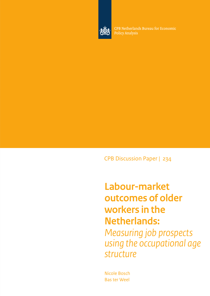

CPB Netherlands Bureau for Economic **Policy Analysis** 

CPB Discussion Paper | 234

**Labour-market outcomes of older workers in the Netherlands:** *Measuring job prospects using the occupational age structure*

Nicole Bosch Bas ter Weel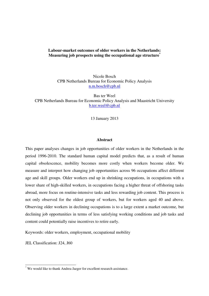# **Labour-market outcomes of older workers in the Netherlands: Measuring job prospects using the occupational age structure\***

Nicole Bosch CPB Netherlands Bureau for Economic Policy Analysis n.m.bosch@cpb.nl

Bas ter Weel CPB Netherlands Bureau for Economic Policy Analysis and Maastricht University b.ter.weel@cpb.nl

13 January 2013

#### **Abstract**

This paper analyses changes in job opportunities of older workers in the Netherlands in the period 1996-2010. The standard human capital model predicts that, as a result of human capital obsolescence, mobility becomes more costly when workers become older. We measure and interpret how changing job opportunities across 96 occupations affect different age and skill groups. Older workers end up in shrinking occupations, in occupations with a lower share of high-skilled workers, in occupations facing a higher threat of offshoring tasks abroad, more focus on routine-intensive tasks and less rewarding job content. This process is not only observed for the oldest group of workers, but for workers aged 40 and above. Observing older workers in declining occupations is to a large extent a market outcome, but declining job opportunities in terms of less satisfying working conditions and job tasks and content could potentially raise incentives to retire early.

Keywords: older workers, employment, occupational mobility

JEL Classification: J24, J60

 $\overline{a}$ 

<sup>\*</sup> We would like to thank Andrea Jaeger for excellent research assistance.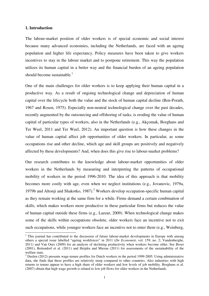## **1. Introduction**

The labour-market position of older workers is of special economic and social interest because many advanced economies, including the Netherlands, are faced with an ageing population and higher life expectancy. Policy measures have been taken to give workers incentives to stay in the labour market and to postpone retirement. This way the population utilizes its human capital in a better way and the financial burden of an ageing population should become sustainable. $<sup>1</sup>$ </sup>

One of the main challenges for older workers is to keep applying their human capital in a productive way. As a result of ongoing technological change and depreciation of human capital over the lifecycle both the value and the stock of human capital decline (Ben-Porath, 1967 and Rosen, 1975). Especially non-neutral technological change over the past decades, recently augmented by the outsourcing and offshoring of tasks, is eroding the value of human capital of particular types of workers, also in the Netherlands (e.g., Akçomak, Borghans and Ter Weel, 2011 and Ter Weel, 2012). An important question is how these changes in the value of human capital affect job opportunities of older workers. In particular, as some occupations rise and other decline, which age and skill groups are positively and negatively affected by these developments? And, when does this give rise to labour-market problems?

Our research contributes to the knowledge about labour-market opportunities of older workers in the Netherlands by measuring and interpreting the patterns of occupational mobility of workers in the period 1996-2010. The idea of this approach is that mobility becomes more costly with age, even when we neglect institutions (e.g., Jovanovic, 1979a, 1979b and Altonji and Shakotko, 1987).<sup>2</sup> Workers develop occupation-specific human capital as they remain working at the same firm for a while. Firms demand a certain combination of skills, which makes workers more productive in these particular firms but reduces the value of human capital outside these firms (e.g., Lazear, 2009). When technological change makes some of the skills within occupations obsolete, older workers face an incentive not to exit such occupations, while younger workers face an incentive not to enter them (e.g., Weinberg,

<sup>&</sup>lt;sup>1</sup> This journal has contributed to the discussion of future labour-market developments in Europe with among others a special issue labelled "ageing workforces" in 2011 (*De Economist*, vol. 159, no. 2; Vandenberghe, 2011) and Van Ours (2009) for an analysis of declining productivity when workers become older. See Broer (2001), Bettendorf et al. (2011) and Heijdra and Mierau (2011) for assessments of the sustainability of the welfare state.

 $2^2$  Deelen (2012) presents wage-tenure profiles for Dutch workers in the period 1999-2005. Using administrative data, she finds that these profiles are relatively steep compared to other countries. Also industries with high returns to tenure appear to have a high share of older workers and low levels of job mobility. Borghans et al. (2007) obtain that high wage growth is related to low job flows for older workers in the Netherlands.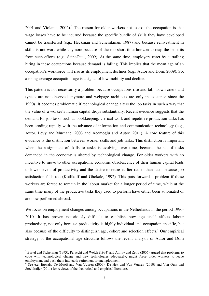2001 and Violante,  $2002$ ).<sup>3</sup> The reason for older workers not to exit the occupation is that wage losses have to be incurred because the specific bundle of skills they have developed cannot be transferred (e.g., Heckman and Scheinkman, 1987) and because reinvestment in skills is not worthwhile anymore because of the too short time horizon to reap the benefits from such efforts (e.g., Saint-Paul, 2009). At the same time, employers react by curtailing hiring in these occupations because demand is falling. This implies that the mean age of an occupation's workforce will rise as its employment declines (e.g., Autor and Dorn, 2009). So, a rising average occupation-age is a signal of low mobility and decline.

This pattern is not necessarily a problem because occupations rise and fall. Town criers and typists are not observed anymore and webpage architects are only in existence since the 1990s. It becomes problematic if technological change alters the job tasks in such a way that the value of a worker's human capital drops substantially. Recent evidence suggests that the demand for job tasks such as bookkeeping, clerical work and repetitive production tasks has been eroding rapidly with the advance of information and communication technology (e.g., Autor, Levy and Murnane, 2003 and Acemoglu and Autor, 2011). A core feature of this evidence is the distinction between worker skills and job tasks. This distinction is important when the assignment of skills to tasks is evolving over time, because the set of tasks demanded in the economy is altered by technological change. For older workers with no incentive to move to other occupations, economic obsolescence of their human capital leads to lower levels of productivity and the desire to retire earlier rather than later because job satisfaction falls too (Kotlikoff and Ghokale, 1992). This puts forward a problem if these workers are forced to remain in the labour market for a longer period of time, while at the same time many of the productive tasks they used to perform have either been automated or are now performed abroad.

We focus on employment changes among occupations in the Netherlands in the period 1996- 2010. It has proven notoriously difficult to establish how age itself affects labour productivity, not only because productivity is highly individual and occupation specific, but also because of the difficulty to distinguish age, cohort and selection effects.<sup>4</sup> Our empirical strategy of the occupational age structure follows the recent analysis of Autor and Dorn

 $\overline{a}$ 

<sup>&</sup>lt;sup>3</sup> Bartel and Sicherman (1993), Peracchi and Welch (1994) and Ahituv and Zeira (2005) argued that problems to cope with technological change and new technologies adequately, might force older workers to leave employment and push them into early retirement or unemployment.

<sup>&</sup>lt;sup>4</sup> See e.g. Euwals, De Mooij and Van Vuuren (2009), De Hek and Van Vuuren (2010) and Van Ours and Stoeldraijer (2011) for reviews of the theoretical and empirical literature.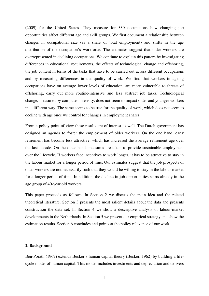(2009) for the United States. They measure for 330 occupations how changing job opportunities affect different age and skill groups. We first document a relationship between changes in occupational size (as a share of total employment) and shifts in the age distribution of the occupation's workforce. The estimates suggest that older workers are overrepresented in declining occupations. We continue to explain this pattern by investigating differences in educational requirements, the effects of technological change and offshoring, the job content in terms of the tasks that have to be carried out across different occupations and by measuring differences in the quality of work. We find that workers in ageing occupations have on average lower levels of education, are more vulnerable to threats of offshoring, carry out more routine-intensive and less abstract job tasks. Technological change, measured by computer-intensity, does not seem to impact older and younger workers in a different way. The same seems to be true for the quality of work, which does not seem to decline with age once we control for changes in employment shares.

From a policy point of view these results are of interest as well. The Dutch government has designed an agenda to foster the employment of older workers. On the one hand, early retirement has become less attractive, which has increased the average retirement age over the last decade. On the other hand, measures are taken to provide sustainable employment over the lifecycle. If workers face incentives to work longer, it has to be attractive to stay in the labour market for a longer period of time. Our estimates suggest that the job prospects of older workers are not necessarily such that they would be willing to stay in the labour market for a longer period of time. In addition, the decline in job opportunities starts already in the age group of 40-year old workers.

This paper proceeds as follows. In Section 2 we discuss the main idea and the related theoretical literature. Section 3 presents the most salient details about the data and presents construction the data set. In Section 4 we show a descriptive analysis of labour-market developments in the Netherlands. In Section 5 we present our empirical strategy and show the estimation results. Section 6 concludes and points at the policy relevance of our work.

## **2. Background**

Ben-Porath (1967) extends Becker's human capital theory (Becker, 1962) by building a lifecycle model of human capital. This model includes investments and depreciation and delivers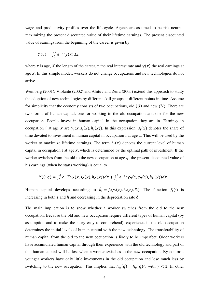wage and productivity profiles over the life-cycle. Agents are assumed to be risk-neutral, maximizing the present discounted value of their lifetime earnings. The present discounted value of earnings from the beginning of the career is given by

$$
Y(0) = \int_0^X e^{-rx} y(x) dx,
$$

where x is age, X the length of the career, r the real interest rate and  $y(x)$  the real earnings at age  $x$ . In this simple model, workers do not change occupations and new technologies do not arrive.

Weinberg (2001), Violante (2002) and Ahituv and Zeira (2005) extend this approach to study the adoption of new technologies by different skill groups at different points in time. Assume for simplicity that the economy consists of two occupations, old  $(0)$  and new  $(N)$ . There are two forms of human capital, one for working in the old occupation and one for the new occupation. People invest in human capital in the occupation they are in. Earnings in occupation *i* at age *x* are  $y_i(x, s_i(x), h_i(x))$ . In this expression,  $s_i(x)$  denotes the share of time devoted to investment in human capital in occupation  $i$  at age  $x$ . This will be used by the worker to maximize lifetime earnings. The term  $h_i(x)$  denotes the current level of human capital in occupation  $i$  at age  $x$ , which is determined by the optimal path of investment. If the worker switches from the old to the new occupation at age  $q$ , the present discounted value of his earnings (when he starts working) is equal to

$$
Y(0,q) = \int_0^q e^{-rx} y_0(x,s_0(x),h_0(x))dx + \int_q^X e^{-rx} y_N(x,s_N(x),h_N(x))dx.
$$

Human capital develops according to  $\dot{h}_i = f_i(s_i(x), h_i(x), \delta_i)$ . The function  $f_i(\cdot)$  is increasing in both s and h and decreasing in the depreciation rate  $\delta_i$ .

The main implication is to show whether a worker switches from the old to the new occupation. Because the old and new occupation require different types of human capital (by assumption and to make the story easy to comprehend), experience in the old occupation determines the initial levels of human capital with the new technology. The transferability of human capital from the old to the new occupation is likely to be imperfect. Older workers have accumulated human capital through their experience with the old technology and part of this human capital will be lost when a worker switches to the new occupation. By contrast, younger workers have only little investments in the old occupation and lose much less by switching to the new occupation. This implies that  $h_N(q) = h_O(q)^\gamma$ , with  $\gamma < 1$ . In other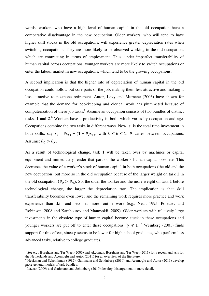words, workers who have a high level of human capital in the old occupation have a comparative disadvantage in the new occupation. Older workers, who will tend to have higher skill stocks in the old occupations, will experience greater depreciation rates when switching occupations. They are more likely to be observed working in the old occupation, which are contracting in terms of employment. Thus, under imperfect transferability of human capital across occupations, younger workers are more likely to switch occupations or enter the labour market in new occupations, which tend to be the growing occupations.

A second implication is that the higher rate of depreciation of human capital in the old occupation could hollow out core parts of the job, making them less attractive and making it less attractive to postpone retirement. Autor, Levy and Murnane (2003) have shown for example that the demand for bookkeeping and clerical work has plummeted because of computerization of these job tasks.<sup>5</sup> Assume an occupation consists of two bundles of distinct tasks, 1 and 2.<sup>6</sup> Workers have a productivity in both, which varies by occupation and age. Occupations combine the two tasks in different ways. Now,  $s_i$  is the total time investment in both skills, say  $s_i = \theta s_{i,1} + (1 - \theta) s_{i,2}$ , with  $0 \le \theta \le 1$ ;  $\theta$  varies between occupations. Assume:  $\theta_0 > \theta_N$ .

As a result of technological change, task 1 will be taken over by machines or capital equipment and immediately render that part of the worker's human capital obsolete. This decreases the value of a worker's stock of human capital in both occupations (the old and the new occupation) but more so in the old occupation because of the larger weight on task 1 in the old occupation  $(\theta_o > \theta_N)$ . So, the older the worker and the more weight on task 1 before technological change, the larger the depreciation rate. The implication is that skill transferability becomes even lower and the remaining work requires more practice and work experience than skill and becomes more routine work (e.g., Neal, 1995, Poletaev and Robinson, 2008 and Kambourov and Manovskii, 2009). Older workers with relatively large investments in the obsolete type of human capital become stuck in these occupations and younger workers are put off to enter these occupations  $(\gamma \ll 1)$ .<sup>7</sup> Weinberg (2001) finds support for this effect, since  $\gamma$  seems to be lower for high-school graduates, who perform less advanced tasks, relative to college graduates.

<sup>&</sup>lt;sup>5</sup> See e.g., Borghans and Ter Weel (2006) and Akçomak, Borghans and Ter Weel (2011) for a recent analysis for the Netherlands and Acemoglu and Autor (2011) for an overview of the literature.

<sup>&</sup>lt;sup>6</sup> Heckman and Scheinkman (1987), Gathmann and Schönberg (2010) and Acemoglu and Autor (2011) develop more general models of task bundles.<br><sup>7</sup> Lazear (2009) and Gathmann and Schönberg (2010) develop this argument in more detail.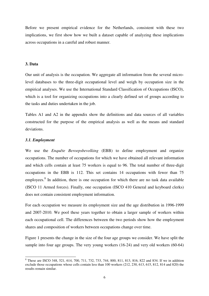Before we present empirical evidence for the Netherlands, consistent with these two implications, we first show how we built a dataset capable of analyzing these implications across occupations in a careful and robust manner.

### **3. Data**

Our unit of analysis is the occupation. We aggregate all information from the several microlevel databases to the three-digit occupational level and weigh by occupation size in the empirical analyses. We use the International Standard Classification of Occupations (ISCO), which is a tool for organizing occupations into a clearly defined set of groups according to the tasks and duties undertaken in the job.

Tables A1 and A2 in the appendix show the definitions and data sources of all variables constructed for the purpose of the empirical analysis as well as the means and standard deviations.

#### *3.1. Employment*

 $\overline{a}$ 

We use the *Enquête Beroepsbevolking* (EBB) to define employment and organize occupations. The number of occupations for which we have obtained all relevant information and which cells contain at least 75 workers is equal to 96. The total number of three-digit occupations in the EBB is 112. This set contains 14 occupations with fewer than 75 employees.<sup>8</sup> In addition, there is one occupation for which there are no task data available (ISCO 11 Armed forces). Finally, one occupation (ISCO 410 General and keyboard clerks) does not contain consistent employment information.

For each occupation we measure its employment size and the age distribution in 1996-1999 and 2007-2010. We pool these years together to obtain a larger sample of workers within each occupational cell. The differences between the two periods show how the employment shares and composition of workers between occupations change over time.

Figure 1 presents the change in the size of the four age groups we consider. We have split the sample into four age groups. The very young workers (16-24) and very old workers (60-64)

<sup>&</sup>lt;sup>8</sup> These are ISCO 348, 521, 614, 700, 711, 732, 733, 744, 800, 811, 813, 816, 822 and 834. If we in addition exclude those occupations whose cells contain less than 100 workers (212, 230, 613, 615, 812, 814 and 820) the results remain similar.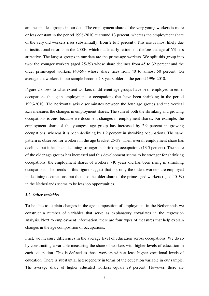are the smallest groups in our data. The employment share of the very young workers is more or less constant in the period 1996-2010 at around 13 percent, whereas the employment share of the very old workers rises substantially (from 2 to 5 percent). This rise is most likely due to institutional reforms in the 2000s, which made early retirement (before the age of 65) less attractive. The largest groups in our data are the prime-age workers. We split this group into two: the younger workers (aged 25-39) whose share declines from 45 to 32 percent and the older prime-aged workers (40-59) whose share rises from 40 to almost 50 percent. On average the workers in our sample become 2.8 years older in the period 1996-2010.

Figure 2 shows to what extent workers in different age groups have been employed in either occupations that gain employment or occupations that have been shrinking in the period 1996-2010. The horizontal axis discriminates between the four age groups and the vertical axis measures the changes in employment shares. The sum of both the shrinking and growing occupations is zero because we document changes in employment shares. For example, the employment share of the youngest age group has increased by 2.9 percent in growing occupations, whereas it is been declining by 1.2 percent in shrinking occupations. The same pattern is observed for workers in the age bracket 25-39. Their overall employment share has declined but it has been declining stronger in shrinking occupations (13.5 percent). The share of the older age groups has increased and this development seems to be stronger for shrinking occupations: the employment shares of workers >40 years old has been rising in shrinking occupations. The trends in this figure suggest that not only the oldest workers are employed in declining occupations, but that also the older share of the prime-aged workers (aged 40-59) in the Netherlands seems to be less job opportunities.

#### *3.2. Other variables*

To be able to explain changes in the age composition of employment in the Netherlands we construct a number of variables that serve as explanatory covariates in the regression analysis. Next to employment information, there are four types of measures that help explain changes in the age composition of occupations.

First, we measure differences in the average level of education across occupations. We do so by constructing a variable measuring the share of workers with higher levels of education in each occupation. This is defined as those workers with at least higher vocational levels of education. There is substantial heterogeneity in terms of the education variable in our sample. The average share of higher educated workers equals 29 percent. However, there are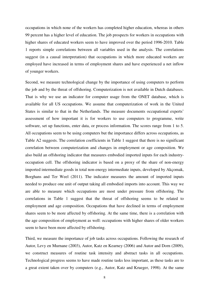occupations in which none of the workers has completed higher education, whereas in others 99 percent has a higher level of education. The job prospects for workers in occupations with higher shares of educated workers seem to have improved over the period 1996-2010. Table 1 reports simple correlations between all variables used in the analysis. The correlations suggest (in a causal interpretation) that occupations in which more educated workers are employed have increased in terms of employment shares and have experienced a net inflow of younger workers.

Second, we measure technological change by the importance of using computers to perform the job and by the threat of offshoring. Computerization is not available in Dutch databases. That is why we use an indicator for computer usage from the ONET database, which is available for all US occupations. We assume that computerization of work in the United States is similar to that in the Netherlands. The measure documents occupational experts' assessment of how important it is for workers to use computers to programme, write software, set up functions, enter data, or process information. The scores range from 1 to 5. All occupations seem to be using computers but the importance differs across occupations, as Table A2 suggests. The correlation coefficients in Table 1 suggest that there is no significant correlation between computerization and changes in employment or age composition. We also build an offshoring indicator that measures embodied imported inputs for each industryoccupation cell. The offshoring indicator is based on a proxy of the share of non-energy imported intermediate goods in total non-energy intermediate inputs, developed by Akçomak, Borghans and Ter Weel (2011). The indicator measures the amount of imported inputs needed to produce one unit of output taking all embodied imports into account. This way we are able to measure which occupations are most under pressure from offshoring. The correlations in Table 1 suggest that the threat of offshoring seems to be related to employment and age composition. Occupations that have declined in terms of employment shares seem to be more affected by offshoring. At the same time, there is a correlation with the age composition of employment as well: occupations with higher shares of older workers seem to have been more affected by offshoring.

Third, we measure the importance of job tasks across occupations. Following the research of Autor, Levy en Murnane (2003), Autor, Katz en Kearney (2006) and Autor and Dorn (2009), we construct measures of routine task intensity and abstract tasks in all occupations. Technological progress seems to have made routine tasks less important, as these tasks are to a great extent taken over by computers (e.g., Autor, Katz and Krueger, 1998). At the same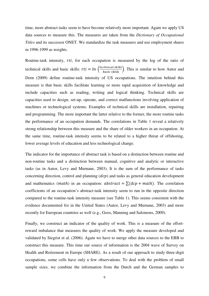time, more abstract tasks seem to have become relatively more important. Again we apply US data sources to measure this. The measures are taken from the *Dictionary of Occupational Titles* and its successor ONET. We standardize the task measures and use employment shares in 1996-1999 as weights.

Routine-task intensity,  $rti$ , for each occupation is measured by the log of the ratio of technical skills and basic skills:  $rti = ln \left( \frac{technical skills}{basic skills} \right)$ . This is similar to how Autor and Dorn (2009) define routine-task intensity of US occupations. The intuition behind this measure is that basic skills facilitate learning or more rapid acquisition of knowledge and include capacities such as reading, writing and logical thinking. Technical skills are capacities used to design, set-up, operate, and correct malfunctions involving application of machines or technological systems. Examples of technical skills are installation, repairing and programming. The more important the latter relative to the former, the more routine tasks the performance of an occupation demands. The correlations in Table 1 reveal a relatively strong relationship between this measure and the share of older workers in an occupation. At the same time, routine-task intensity seems to be related to a higher threat of offshoring, lower average levels of education and less technological change.

The indicator for the importance of abstract task is based on a distinction between routine and non-routine tasks and a distinction between manual, cognitive and analytic or interactive tasks (as in Autor, Levy and Murnane, 2003). It is the sum of the performance of tasks concerning direction, control and planning  $(dcp)$  and tasks as general education development and mathematics (math) in an occupation:  $abstract = \sum (dcp + math)$ . The correlation coefficients of an occupation's abstract-task intensity seem to run in the opposite direction compared to the routine-task intensity measure (see Table 1). This seems consistent with the evidence documented for in the United States (Autor, Levy and Murnane, 2003) and more recently for European countries as well (e.g., Goos, Manning and Salomons, 2009).

Finally, we construct an indicator of the quality of work. This is a measure of the effortreward imbalance that measures the quality of work. We apply the measure developed and validated by Siegrist et al. (2006). Again we have to merge other data sources to the EBB to construct this measure. This time our source of information is the 2004 wave of Survey on Health and Retirement in Europe (SHARE). As a result of our approach to study three-digit occupations, some cells have only a few observations. To deal with the problem of small sample sizes, we combine the information from the Dutch and the German samples to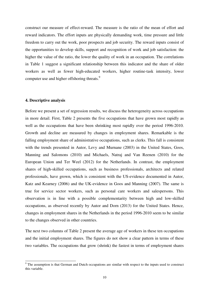construct our measure of effect-reward. The measure is the ratio of the mean of effort and reward indicators. The effort inputs are physically demanding work, time pressure and little freedom to carry out the work, poor prospects and job security. The reward inputs consist of the opportunities to develop skills, support and recognition of work and job satisfaction: the higher the value of the ratio, the lower the quality of work in an occupation. The correlations in Table 1 suggest a significant relationship between this indicator and the share of older workers as well as fewer high-educated workers, higher routine-task intensity, lower computer use and higher offshoring threats.<sup>9</sup>

### **4. Descriptive analysis**

Before we present a set of regression results, we discuss the heterogeneity across occupations in more detail. First, Table 2 presents the five occupations that have grown most rapidly as well as the occupations that have been shrinking most rapidly over the period 1996-2010. Growth and decline are measured by changes in employment shares. Remarkable is the falling employment share of administrative occupations, such as clerks. This fall is consistent with the trends presented in Autor, Levy and Murnane (2003) in the United States, Goos, Manning and Salomons (2010) and Michaels, Natraj and Van Reenen (2010) for the European Union and Ter Weel (2012) for the Netherlands. In contrast, the employment shares of high-skilled occupations, such as business professionals, architects and related professionals, have grown, which is consistent with the US-evidence documented in Autor, Katz and Kearney (2006) and the UK-evidence in Goos and Manning (2007). The same is true for service sector workers, such as personal care workers and salespersons. This observation is in line with a possible complementarity between high and low-skilled occupations, as observed recently by Autor and Dorn (2013) for the United States. Hence, changes in employment shares in the Netherlands in the period 1996-2010 seem to be similar to the changes observed in other countries.

The next two columns of Table 2 present the average age of workers in these ten occupations and the initial employment shares. The figures do not show a clear pattern in terms of these two variables. The occupations that grow (shrink) the fastest in terms of employment shares

<sup>&</sup>lt;sup>9</sup> The assumption is that German and Dutch occupations are similar with respect to the inputs used to construct this variable.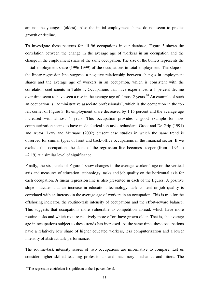are not the youngest (oldest). Also the initial employment shares do not seem to predict growth or decline.

To investigate these patterns for all 96 occupations in our database, Figure 3 shows the correlation between the change in the average age of workers in an occupation and the change in the employment share of the same occupation. The size of the bullets represents the initial employment share (1996-1999) of the occupations in total employment. The slope of the linear regression line suggests a negative relationship between changes in employment shares and the average age of workers in an occupation, which is consistent with the correlation coefficients in Table 1. Occupations that have experienced a 1 percent decline over time seem to have seen a rise in the average age of almost 2 years.<sup>10</sup> An example of such an occupation is "administrative associate professionals", which is the occupation in the top left corner of Figure 3. Its employment share decreased by 1.15 percent and the average age increased with almost 4 years. This occupation provides a good example for how computerization seems to have made clerical job tasks redundant. Groot and De Grip (1991) and Autor, Levy and Murnane (2002) present case studies in which the same trend is observed for similar types of front and back-office occupations in the financial sector. If we exclude this occupation, the slope of the regression line becomes steeper (from −1.95 to −2.19) at a similar level of significance.

Finally, the six panels of Figure 4 show changes in the average workers' age on the vertical axis and measures of education, technology, tasks and job quality on the horizontal axis for each occupation. A linear regression line is also presented in each of the figures. A positive slope indicates that an increase in education, technology, task content or job quality is correlated with an increase in the average age of workers in an occupation. This is true for the offshoring indicator, the routine-task intensity of occupations and the effort-reward balance. This suggests that occupations more vulnerable to competition abroad, which have more routine tasks and which require relatively more effort have grown older. That is, the average age in occupations subject to these trends has increased. At the same time, these occupations have a relatively low share of higher educated workers, less computerization and a lower intensity of abstract task performance.

The routine-task intensity scores of two occupations are informative to compare. Let us consider higher skilled teaching professionals and machinery mechanics and fitters. The

 $\overline{a}$ 

 $10$  The regression coefficient is significant at the 1 percent level.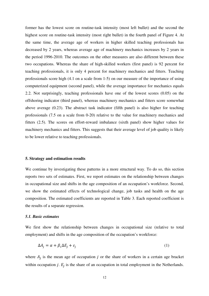former has the lowest score on routine-task intensity (most left bullet) and the second the highest score on routine-task intensity (most right bullet) in the fourth panel of Figure 4. At the same time, the average age of workers in higher skilled teaching professionals has decreased by 2 years, whereas average age of machinery mechanics increases by 2 years in the period 1996-2010. The outcomes on the other measures are also different between these two occupations. Whereas the share of high-skilled workers (first panel) is 92 percent for teaching professionals, it is only 4 percent for machinery mechanics and fitters. Teaching professionals score high (4.1 on a scale from 1-5) on our measure of the importance of using computerized equipment (second panel), while the average importance for mechanics equals 2.2. Not surprisingly, teaching professionals have one of the lowest scores (0.05) on the offshoring indicator (third panel), whereas machinery mechanics and fitters score somewhat above average (0.23). The abstract task indicator (fifth panel) is also higher for teaching professionals (7.5 on a scale from 0-20) relative to the value for machinery mechanics and fitters (2.5). The scores on effort-reward imbalance (sixth panel) show higher values for machinery mechanics and fitters. This suggests that their average level of job quality is likely to be lower relative to teaching professionals.

#### **5. Strategy and estimation results**

We continue by investigating these patterns in a more structural way. To do so, this section reports two sets of estimates. First, we report estimates on the relationship between changes in occupational size and shifts in the age composition of an occupation's workforce. Second, we show the estimated effects of technological change, job tasks and health on the age composition. The estimated coefficients are reported in Table 3. Each reported coefficient is the results of a separate regression.

## *5.1. Basic estimates*

We first show the relationship between changes in occupational size (relative to total employment) and shifts in the age composition of the occupation's workforce:

$$
\Delta A_j = \alpha + \beta_1 \Delta E_j + \varepsilon_j \tag{1}
$$

where  $A_j$  is the mean age of occupation j or the share of workers in a certain age bracket within occupation *j*.  $E_j$  is the share of an occupation in total employment in the Netherlands.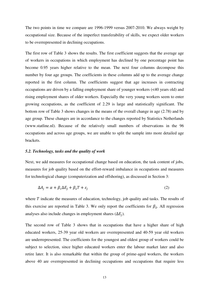The two points in time we compare are 1996-1999 versus 2007-2010. We always weight by occupational size. Because of the imperfect transferability of skills, we expect older workers to be overrepresented in declining occupations.

The first row of Table 3 shows the results. The first coefficient suggests that the average age of workers in occupations in which employment has declined by one percentage point has become 0.95 years higher relative to the mean. The next four columns decompose this number by four age groups. The coefficients in these columns add up to the average change reported in the first column. The coefficients suggest that age increases in contracting occupations are driven by a falling employment share of younger workers (<40 years old) and rising employment shares of older workers. Especially the very young workers seem to enter growing occupations, as the coefficient of 2.29 is large and statistically significant. The bottom row of Table 3 shows changes in the means of the overall change in age (2.78) and by age group. These changes are in accordance to the changes reported by Statistics Netherlands (www.statline.nl). Because of the relatively small numbers of observations in the 96 occupations and across age groups, we are unable to split the sample into more detailed age brackets.

#### *5.2. Technology, tasks and the quality of work*

Next, we add measures for occupational change based on education, the task content of jobs, measures for job quality based on the effort-reward imbalance in occupations and measures for technological change (computerization and offshoring), as discussed in Section 3:

$$
\Delta A_j = \alpha + \beta_1 \Delta E_j + \beta_2 T + \varepsilon_j \tag{2}
$$

where  $T$  indicate the measures of education, technology, job quality and tasks. The results of this exercise are reported in Table 3. We only report the coefficients for  $\beta_2$ . All regression analyses also include changes in employment shares  $(\Delta E_j)$ .

The second row of Table 3 shows that in occupations that have a higher share of high educated workers, 25-39 year old workers are overrepresented and 40-59 year old workers are underrepresented. The coefficients for the youngest and oldest group of workers could be subject to selection, since higher educated workers enter the labour market later and also retire later. It is also remarkable that within the group of prime-aged workers, the workers above 40 are overrepresented in declining occupations and occupations that require less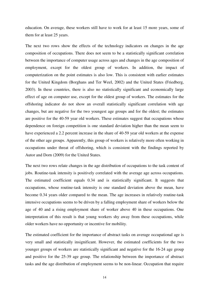education. On average, these workers still have to work for at least 15 more years, some of them for at least 25 years.

The next two rows show the effects of the technology indicators on changes in the age composition of occupations. There does not seem to be a statistically significant correlation between the importance of computer usage across ages and changes in the age composition of employment, except for the oldest group of workers. In addition, the impact of computerization on the point estimates is also low. This is consistent with earlier estimates for the United Kingdom (Borghans and Ter Weel, 2002) and the United States (Friedberg, 2003). In these countries, there is also no statistically significant and economically large effect of age on computer use, except for the oldest group of workers. The estimates for the offshoring indicator do not show an overall statistically significant correlation with age changes, but are negative for the two youngest age groups and for the oldest; the estimates are positive for the 40-59 year old workers. These estimates suggest that occupations whose dependence on foreign competition is one standard deviation higher than the mean seem to have experienced a 2.2 percent increase in the share of 40-59 year old workers at the expense of the other age groups. Apparently, this group of workers is relatively more often working in occupations under threat of offshoring, which is consistent with the findings reported by Autor and Dorn (2009) for the United States.

The next two rows relate changes in the age distribution of occupations to the task content of jobs. Routine-task intensity is positively correlated with the average age across occupations. The estimated coefficient equals 0.34 and is statistically significant. It suggests that occupations, whose routine-task intensity is one standard deviation above the mean, have become 0.34 years older compared to the mean. The age increases in relatively routine-task intensive occupations seems to be driven by a falling employment share of workers below the age of 40 and a rising employment share of worker above 40 in these occupations. One interpretation of this result is that young workers shy away from these occupations, while older workers have no opportunity or incentive for mobility.

The estimated coefficient for the importance of abstract tasks on average occupational age is very small and statistically insignificant. However, the estimated coefficients for the two younger groups of workers are statistically significant and negative for the 16-24 age group and positive for the 25-39 age group. The relationship between the importance of abstract tasks and the age distribution of employment seems to be non-linear. Occupation that require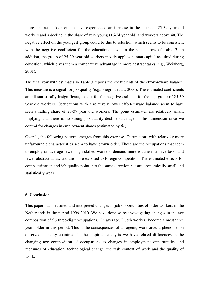more abstract tasks seem to have experienced an increase in the share of 25-39 year old workers and a decline in the share of very young (16-24 year old) and workers above 40. The negative effect on the youngest group could be due to selection, which seems to be consistent with the negative coefficient for the educational level in the second row of Table 3. In addition, the group of 25-39 year old workers mostly applies human capital acquired during education, which gives them a comparative advantage in more abstract tasks (e.g., Weinberg, 2001).

The final row with estimates in Table 3 reports the coefficients of the effort-reward balance. This measure is a signal for job quality (e.g., Siegrist et al., 2006). The estimated coefficients are all statistically insignificant, except for the negative estimate for the age group of 25-39 year old workers. Occupations with a relatively lower effort-reward balance seem to have seen a falling share of 25-39 year old workers. The point estimates are relatively small, implying that there is no strong job quality decline with age in this dimension once we control for changes in employment shares (estimated by  $\beta_1$ ).

Overall, the following pattern emerges from this exercise. Occupations with relatively more unfavourable characteristics seem to have grown older. These are the occupations that seem to employ on average fewer high-skilled workers, demand more routine-intensive tasks and fewer abstract tasks, and are more exposed to foreign competition. The estimated effects for computerization and job quality point into the same direction but are economically small and statistically weak.

## **6. Conclusion**

This paper has measured and interpreted changes in job opportunities of older workers in the Netherlands in the period 1996-2010. We have done so by investigating changes in the age composition of 96 three-digit occupations. On average, Dutch workers become almost three years older in this period. This is the consequences of an ageing workforce, a phenomenon observed in many countries. In the empirical analysis we have related differences in the changing age composition of occupations to changes in employment opportunities and measures of education, technological change, the task content of work and the quality of work.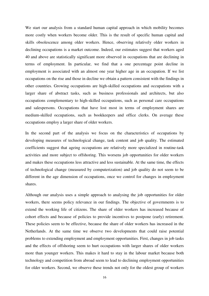We start our analysis from a standard human capital approach in which mobility becomes more costly when workers become older. This is the result of specific human capital and skills obsolescence among older workers. Hence, observing relatively older workers in declining occupations is a market outcome. Indeed, our estimates suggest that workers aged 40 and above are statistically significant more observed in occupations that are declining in terms of employment. In particular, we find that a one percentage point decline in employment is associated with an almost one year higher age in an occupation. If we list occupations on the rise and those in decline we obtain a pattern consistent with the findings in other countries. Growing occupations are high-skilled occupations and occupations with a larger share of abstract tasks, such as business professionals and architects, but also occupations complementary to high-skilled occupations, such as personal care occupations and salespersons. Occupations that have lost most in terms of employment shares are medium-skilled occupations, such as bookkeepers and office clerks. On average these occupations employ a larger share of older workers.

In the second part of the analysis we focus on the characteristics of occupations by developing measures of technological change, task content and job quality. The estimated coefficients suggest that ageing occupations are relatively more specialized in routine-task activities and more subject to offshoring. This worsens job opportunities for older workers and makes these occupations less attractive and less sustainable. At the same time, the effects of technological change (measured by computerization) and job quality do not seem to be different in the age dimension of occupations, once we control for changes in employment shares.

Although our analysis uses a simple approach to analysing the job opportunities for older workers, there seems policy relevance in our findings. The objective of governments is to extend the working life of citizens. The share of older workers has increased because of cohort effects and because of policies to provide incentives to postpone (early) retirement. These policies seem to be effective, because the share of older workers has increased in the Netherlands. At the same time we observe two developments that could raise potential problems to extending employment and employment opportunities. First, changes in job tasks and the effects of offshoring seem to hurt occupations with larger shares of older workers more than younger workers. This makes it hard to stay in the labour market because both technology and competition from abroad seem to lead to declining employment opportunities for older workers. Second, we observe these trends not only for the oldest group of workers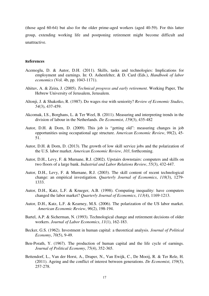(those aged 60-64) but also for the older prime-aged workers (aged 40-59). For this latter group, extending working life and postponing retirement might become difficult and unattractive.

#### **References**

- Acemoglu, D. & Autor, D.H. (2011). Skills, tasks and technologies: Implications for employment and earnings. In: O. Ashenfelter, & D. Card (Eds.), *Handbook of labor economics* (Vol. 4b, pp. 1043-1171).
- Ahituv, A. & Zeira, J. (2005). *Technical progress and early retirement*. Working Paper, The Hebrew University of Jerusalem, Jerusalem.
- Altonji, J. & Shakotko, R. (1987). Do wages rise with seniority? *Review of Economic Studies*, *54*(3), 437-459.
- Akcomak, I.S., Borghans, L. & Ter Weel, B. (2011). Measuring and interpreting trends in the division of labour in the Netherlands. *De Economist*, *159*(3), 435-482
- Autor, D.H. & Dorn, D. (2009). This job is "getting old": measuring changes in job opportunities using occupational age structure. *American Economic Review*, *99*(2), 45- 51.
- Autor, D.H. & Dorn, D. (2013). The growth of low skill service jobs and the polarization of the U.S. labor market. *American Economic Review*, *103*, forthcoming.
- Autor, D.H., Levy, F. & Murnane, R.J. (2002). Upstairs downstairs: computers and skills on two floors of a large bank. *Industrial and Labor Relations Review*, *55*(3), 432-447.
- Autor, D.H., Levy, F. & Murnane, R.J. (2003). The skill content of recent technological change: an empirical investigation. *Quarterly Journal of Economics*, *118*(3), 1279- 1333.
- Autor, D.H., Katz, L.F. & Krueger, A.B. (1998). Computing inequality: have computers changed the labor market? *Quarterly Journal of Economics*, *113*(4), 1169-1213.
- Autor, D.H., Katz, L.F. & Kearney, M.S. (2006). The polarization of the US labor market. *American Economic Review*, *96*(2), 198-194.
- Bartel, A.P. & Sicherman, N. (1993). Technological change and retirement decisions of older workers. *Journal of Labor Economics*, *11*(1), 162-183.
- Becker, G.S. (1962). Investment in human capital: a theoretical analysis. *Journal of Political Economy*, *70*(5), 9-49.
- Ben-Porath, Y. (1967). The production of human capital and the life cycle of earnings. *Journal of Political Economy*, *75*(4), 352-365.
- Bettendorf, L., Van der Horst, A., Draper, N., Van Ewijk, C., De Mooij, R. & Ter Rele, H. (2011). Ageing and the conflict of interest between generations. *De Economist*, *159*(3), 257-278.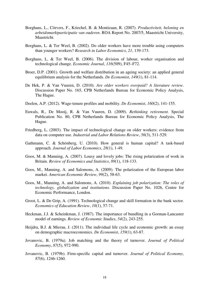- Borghans, L., Cörvers, F., Kriechel, B. & Montizaan, R. (2007). *Productiviteit, beloning en arbeidsmarktparticipatie van ouderen*. ROA Report No. 2007/5, Maastricht University, Maastricht.
- Borghans, L. & Ter Weel, B. (2002). Do older workers have more trouble using computers than younger workers? *Research in Labor Economics*, *21*, 139-173.
- Borghans, L. & Ter Weel, B. (2006). The division of labour, worker organisation and technological change. *Economic Journal*, *116*(509), F45–F72.
- Broer, D.P. (2001). Growth and welfare distribution in an ageing society: an applied general equilibrium analysis for the Netherlands. *De Economist*, *149*(1), 81-114.
- De Hek, P. & Van Vuuren, D. (2010). *Are older workers overpaid? A literature review*. Discussion Paper No. 165, CPB Netherlands Bureau for Economic Policy Analysis, The Hague.
- Deelen, A.P. (2012). Wage-tenure profiles and mobility. *De Economist*, *160*(2), 141-155.
- Euwals, R., De Mooij, R. & Van Vuuren, D. (2009). *Rethinking retirement.* Special Publication No. 80, CPB Netherlands Bureau for Economic Policy Analysis, The Hague.
- Friedberg, L. (2003). The impact of technological change on older workers: evidence from data on computer use. *Industrial and Labor Relations Review*, *56*(3), 511-529.
- Gathmann, C. & Schönberg, U. (2010). How general is human capital? A task-based approach. *Journal of Labor Economics*, *28*(1), 1-49.
- Goos, M. & Manning, A. (2007). Lousy and lovely jobs: The rising polarization of work in Britain. *Review of Economics and Statistics*, *89*(1), 118-133.
- Goos, M., Manning, A. and Salomons, A. (2009). The polarization of the European labor market. *American Economic Review*, *99*(2), 58-63.
- Goos, M., Manning, A. and Salomons, A. (2010). *Explaining job polarization: The roles of technology, globalization and institutions*. Discussion Paper No. 1026, Centre for Economic Performance, London.
- Groot, L. & De Grip, A. (1991). Technological change and skill formation in the bank sector. *Economics of Education Review*, *10*(1), 57-71.
- Heckman, J.J. & Scheinkman, J. (1987). The importance of bundling in a Gorman-Lancaster model of earnings. *Review of Economic Studies*, *54*(2), 243-255.
- Heijdra, B.J. & Mierau, J. (2011). The individual life cycle and economic growth: an essay on demographic macroeconomics. *De Economist*, *159*(1), 63-87.
- Jovanovic, B. (1979a). Job matching and the theory of turnover. *Journal of Political Economy*, *87*(5), 972-990.
- Jovanovic, B. (1979b). Firm-specific capital and turnover. *Journal of Political Economy*, *87*(6), 1246-1260.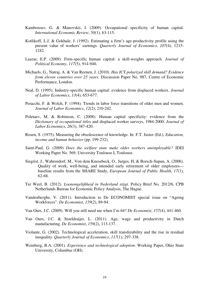- Kamborouv, G. & Manovskii, I. (2009). Occupational specificity of human capital. *International Economic Review*, *50*(1), 63-115.
- Kotlikoff, L.J. & Gokhale, J. (1992). Estimating a firm's age-productivity profile using the present value of workers' earnings. *Quarterly Journal of Economics*, *107*(4), 1215- 1242.
- Lazear, E.P. (2009). Firm-specific human capital: a skill-weights approach. *Journal of Political Economy*, *117*(5), 914-940.
- Michaels, G., Natraj, A. & Van Reenen, J. (2010). *Has ICT polarized skill demand? Evidence from eleven countries over 25 years*. Discussion Paper No. 987, Centre of Economic Performance, London.
- Neal, D. (1995). Industry-specific human capital: evidence from displaced workers. *Journal of Labor Economics*, *13*(4), 653-677.
- Peracchi, F. & Welch, F. (1994). Trends in labor force transitions of older men and women. *Journal of Labor Economics*, *12*(2), 210-242.
- Poletaev, M. & Robinson, C. (2008). Human capital specificity: evidence from the *Dictionary of occupational titles* and displaced worker surveys, 1984-2000. *Journal of Labor Economics*, *26*(3), 387-420.
- Rosen, S. (1975). Measuring the obsolescence of knowledge. In: F.T. Juster (Ed.), *Education, income and human behavior* (pp. 199-232).
- Saint-Paul, G. (2009) *Does the welfare state make older workers unemployable?* IDEI Working Paper No. 569, University Toulouse I, Toulouse.
- Siegrist, J., Wahrendorf, M., Von dem Knesebeck, O., Jurges, H. & Borsch-Supan, A. (2006). Quality of work, well-being, and intended early retirement of older employees baseline results from the SHARE Study, *European Journal of Public Health*, *17*(1), 62-68.
- Ter Weel, B. (2012). *Loonongelijkheid in Nederland stijgt*. Policy Brief No. 2012/6, CPB Netherlands Bureau for Economic Policy Analysis, The Hague.
- Vandenberghe, V. (2011). Introduction to De ECONOMIST special issue on "Ageing Workforces". *De Economist*, *159*(2), 89-94.
- Van Ours, J.C. (2009). Will you still need me when I'm 64? *De Economist*, *157*(4), 441-460.
- Van Ours, J.C. & Stoeldraijer, L. (2011). Age, wage and productivity in Dutch manufacturing. *De Economist*, *159*(2), 113-137.
- Violante, G. (2002). Technological acceleration, skill transferability and the rise in residual inequality. *Quarterly Journal of Economics*, *117*(1), 297-338.
- Weinberg, B.A. (2001). *Experience and technological adoption*. Working Paper, Ohio State University, Columbus (OH).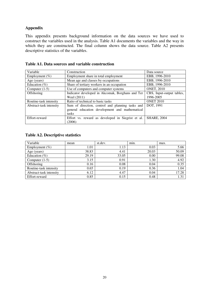# **Appendix**

This appendix presents background information on the data sources we have used to construct the variables used in the analysis. Table A1 documents the variables and the way in which they are constructed. The final column shows the data source. Table A2 presents descriptive statistics of the variables.

| Variable                | Construction                                      | Data source               |
|-------------------------|---------------------------------------------------|---------------------------|
| Employment $(\% )$      | Employment share in total employment              | EBB, 1996-2010            |
| Age (years)             | Mean age and classes by occupations               | EBB, 1996-2010            |
| Education $(\% )$       | Share of tertiary workers in an occupation        | EBB, 1996-2010            |
| Computer $(1-5)$        | Use of computers and computer systems             | <b>ONET, 2010</b>         |
| <b>Offshoring</b>       | Indicator developed in Akcomak, Borghans and Ter  | CBS, Input-output tables, |
|                         | Weel (2011)                                       | 1996-2005                 |
| Routine-task intensity  | Ratio of technical to basic tasks                 | <b>ONET 2010</b>          |
| Abstract-task intensity | Sum of direction, control and planning tasks and  | DOT, 1991                 |
|                         | general education development and mathematical    |                           |
|                         | tasks                                             |                           |
| Effort-reward           | Effort vs. reward as developed in Siegrist et al. | <b>SHARE, 2004</b>        |
|                         | (2006)                                            |                           |

| Table A1. Data sources and variable construction |  |  |  |
|--------------------------------------------------|--|--|--|
|--------------------------------------------------|--|--|--|

# **Table A2. Descriptive statistics**

| Variable                | mean  | st.dev. | min.  | max.  |
|-------------------------|-------|---------|-------|-------|
| Employment $(\% )$      | 1.01  | 1.13    | 0.03  | 5.66  |
| Age (years)             | 38.83 | 4.41    | 20.03 | 50.09 |
| Education $(\%)$        | 29.19 | 33.05   | 0.00  | 99.08 |
| Computer $(1-5)$        | 3.15  | 0.91    | 1.30  | 4.92  |
| Offshoring              | 0.16  | 0.08    | 0.04  | 0.35  |
| Routine-task intensity  | 0.65  | 0.19    | 0.36  | 1.04  |
| Abstract-task intensity | 6.12  | 4.47    | 0.04  | 17.28 |
| Effort-reward           | 0.85  | 0.15    | 0.48  | 1.31  |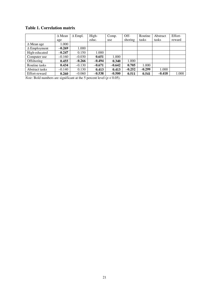**Table 1. Correlation matrix** 

|                     | $\Delta$ Mean | $\Delta$ Empl. | High-    | Comp.    | Off-     | Routine  | Abstract | Effort- |
|---------------------|---------------|----------------|----------|----------|----------|----------|----------|---------|
|                     | age           |                | educ.    | use      | shoring  | tasks    | tasks    | reward  |
| $\Delta$ Mean age   | 1.000         |                |          |          |          |          |          |         |
| $\Delta$ Employment | $-0.269$      | 1.000          |          |          |          |          |          |         |
| High-educated       | $-0.247$      | 0.150          | 1.000    |          |          |          |          |         |
| Computer use        | $-0.160$      | $-0.030$       | 0.651    | 1.000    |          |          |          |         |
| Offshoring          | 0.455         | $-0.266$       | $-0.494$ | 0.340    | 1.000    |          |          |         |
| Routine tasks       | 0.434         | $-0.130$       | $-0.671$ | $-0.642$ | 0.705    | 1.000    |          |         |
| Abstract tasks      | $-0.140$      | 0.130          | 0.413    | 0.413    | $-0.252$ | $-0.299$ | 1.000    |         |
| Effort-reward       | 0.260         | $-0.060$       | $-0.538$ | $-0.500$ | 0.511    | 0.541    | $-0.418$ | 1.000   |

*Note*: Bold numbers are significant at the 5 percent level ( $p < 0.05$ ).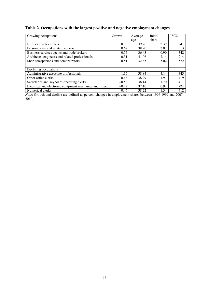# **Table 2. Occupations with the largest positive and negative employment changes**

| Growing occupations                                       | Growth  | Average | Initial | <b>ISCO</b> |
|-----------------------------------------------------------|---------|---------|---------|-------------|
|                                                           |         | age     | share   |             |
| <b>Business professionals</b>                             | 0.70    | 39.26   | 2.39    | 241         |
| Personal care and related workers                         | 0.62    | 38.90   | 3.07    | 513         |
| Business services agents and trade brokers                | 0.55    | 36.43   | 0.90    | 342         |
| Architects, engineers and related professionals           | 0.51    | 41.06   | 2.14    | 214         |
| Shop salespersons and demonstrators                       | 0.51    | 32.65   | 5.02    | 522         |
|                                                           |         |         |         |             |
| Declining occupations                                     |         |         |         |             |
| Administrative associate professionals                    | $-1.15$ | 38.84   | 4.14    | 343         |
| Other office clerks                                       | $-0.68$ | 38.29   | 1.91    | 419         |
| Secretaries and keyboard-operating clerks                 | $-0.58$ | 38.14   | 1.70    | 411         |
| Electrical and electronic equipment mechanics and fitters | $-0.47$ | 37.10   | 0.94    | 724         |
| Numerical clerks                                          | $-0.46$ | 38.22   | 1.34    | 412         |

*Note*: Growth and decline are defined as percent changes in employment shares between 1996-1999 and 2007- 2010.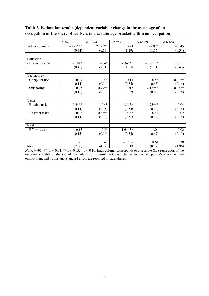|                     | $\triangle$ Age | $\Delta$ 16-24 | $\Delta$ 25-39 | $\Delta$ 45-59 | $\Lambda$ 60-64 |
|---------------------|-----------------|----------------|----------------|----------------|-----------------|
| $\Delta$ Employment | $-0.95***$      | $2.29***$      | 0.98           | $-2.82*$       | $-0.45$         |
|                     | (0.34)          | (0.83)         | (1.29)         | (1.56)         | (0.34)          |
|                     |                 |                |                |                |                 |
| Education           |                 |                |                |                |                 |
| - High-educated     | $-0.81*$        | $-0.45$        | $7.34***$      | $-7.96***$     | $1.06**$        |
|                     | (0.45)          | (1.11)         | (1.55)         | (1.91)         | (0.43)          |
|                     |                 |                |                |                |                 |
| Technology          |                 |                |                |                |                 |
| - Computer use      | 0.07            | $-0.46$        | 0.18           | 0.58           | $-0.30**$       |
|                     | (0.14)          | (0.34)         | (0.54)         | (0.65)         | (0.14)          |
| - Offshoring        | 0.25            | $-0.79**$      | $-1.01*$       | $2.16***$      | $-0.36**$       |
|                     | (0.15)          | (0.36)         | (0.57)         | (0.66)         | (0.15)          |
|                     |                 |                |                |                |                 |
| <b>Tasks</b>        |                 |                |                |                |                 |
| - Routine task      | $0.34**$        | $-0.48$        | $-1.31**$      | $1.75***$      | 0.04            |
|                     | (0.14)          | (0.35)         | (0.54)         | (0.64)         | (0.14)          |
| - Abstract tasks    | $-0.03$         | $-0.83**$      | $1.27**$       | $-0.42$        | $-0.02$         |
|                     | (0.14)          | (0.33)         | (0.51)         | (0.64)         | (0.14)          |
|                     |                 |                |                |                |                 |
| Health              |                 |                |                |                |                 |
| - Effort-reward     | 0.13            | 0.56           | $-1.61***$     | 1.04           | 0.02            |
|                     | (0.15)          | (0.36)         | (0.54)         | (0.67)         | (0.15)          |
|                     |                 |                |                |                |                 |
|                     | 2.78            | 0.48           | $-12.36$       | 8.61           | 3.30            |
| Mean                | (2.06)          | (4.77)         | (6.60)         | (8.37)         | (1.98)          |

# **Table 3. Estimation results (dependent variable: change in the mean age of an occupation or the share of workers in a certain age bracket within an occupation)**

*Note*:  $N=96$ . \*\*\*  $p < 0.01$ , \*\*  $p < 0.05$ , \*  $p < 0.10$ . Each column corresponds to a separate OLS regression of the outcome variable at the top of the column on control variables, change in the occupation's share in total employment and a constant. Standard errors are reported in parentheses.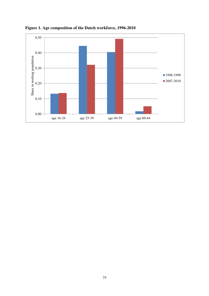

**Figure 1. Age composition of the Dutch workforce, 1996-2010**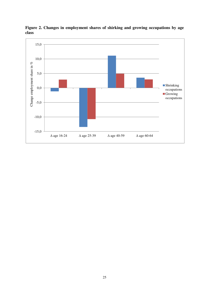

**Figure 2. Changes in employment shares of shirking and growing occupations by age class**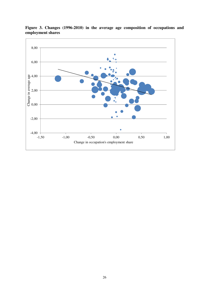

**Figure 3. Changes (1996-2010) in the average age composition of occupations and employment shares**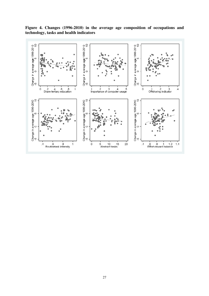

**Figure 4. Changes (1996-2010) in the average age composition of occupations and technology, tasks and health indicators**